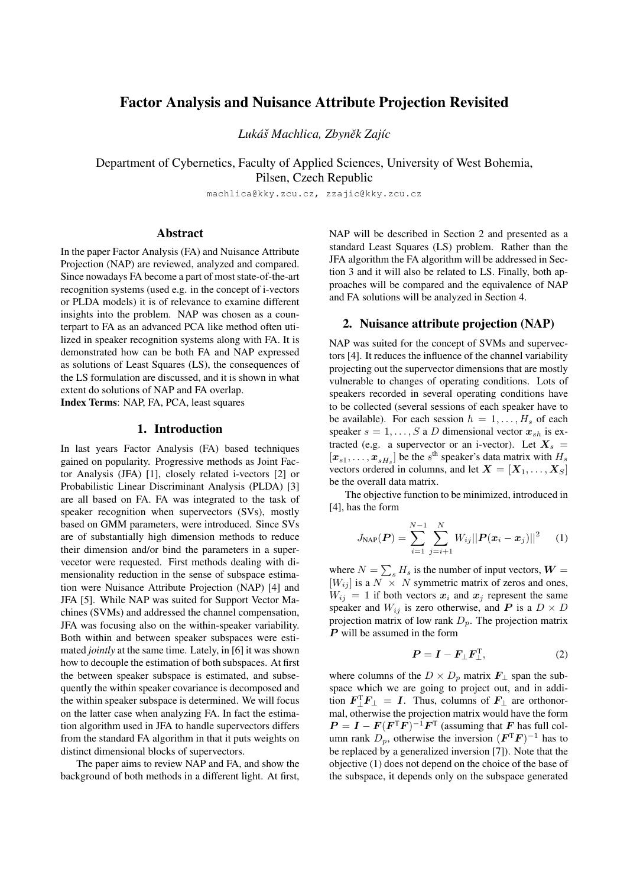# Factor Analysis and Nuisance Attribute Projection Revisited

*Luka´s Machlica, Zbyn ˇ ek Zaj ˇ ´ıc*

Department of Cybernetics, Faculty of Applied Sciences, University of West Bohemia, Pilsen, Czech Republic

machlica@kky.zcu.cz, zzajic@kky.zcu.cz

#### Abstract

In the paper Factor Analysis (FA) and Nuisance Attribute Projection (NAP) are reviewed, analyzed and compared. Since nowadays FA become a part of most state-of-the-art recognition systems (used e.g. in the concept of i-vectors or PLDA models) it is of relevance to examine different insights into the problem. NAP was chosen as a counterpart to FA as an advanced PCA like method often utilized in speaker recognition systems along with FA. It is demonstrated how can be both FA and NAP expressed as solutions of Least Squares (LS), the consequences of the LS formulation are discussed, and it is shown in what extent do solutions of NAP and FA overlap. Index Terms: NAP, FA, PCA, least squares

## 1. Introduction

In last years Factor Analysis (FA) based techniques gained on popularity. Progressive methods as Joint Factor Analysis (JFA) [1], closely related i-vectors [2] or Probabilistic Linear Discriminant Analysis (PLDA) [3] are all based on FA. FA was integrated to the task of speaker recognition when supervectors (SVs), mostly based on GMM parameters, were introduced. Since SVs are of substantially high dimension methods to reduce their dimension and/or bind the parameters in a supervecetor were requested. First methods dealing with dimensionality reduction in the sense of subspace estimation were Nuisance Attribute Projection (NAP) [4] and JFA [5]. While NAP was suited for Support Vector Machines (SVMs) and addressed the channel compensation, JFA was focusing also on the within-speaker variability. Both within and between speaker subspaces were estimated *jointly* at the same time. Lately, in [6] it was shown how to decouple the estimation of both subspaces. At first the between speaker subspace is estimated, and subsequently the within speaker covariance is decomposed and the within speaker subspace is determined. We will focus on the latter case when analyzing FA. In fact the estimation algorithm used in JFA to handle supervectors differs from the standard FA algorithm in that it puts weights on distinct dimensional blocks of supervectors.

The paper aims to review NAP and FA, and show the background of both methods in a different light. At first, NAP will be described in Section 2 and presented as a standard Least Squares (LS) problem. Rather than the JFA algorithm the FA algorithm will be addressed in Section 3 and it will also be related to LS. Finally, both approaches will be compared and the equivalence of NAP and FA solutions will be analyzed in Section 4.

## 2. Nuisance attribute projection (NAP)

NAP was suited for the concept of SVMs and supervectors [4]. It reduces the influence of the channel variability projecting out the supervector dimensions that are mostly vulnerable to changes of operating conditions. Lots of speakers recorded in several operating conditions have to be collected (several sessions of each speaker have to be available). For each session  $h = 1, \ldots, H_s$  of each speaker  $s = 1, \ldots, S$  a D dimensional vector  $x_{sh}$  is extracted (e.g. a supervector or an i-vector). Let  $X_s$  =  $[x_{s1},..., x_{sH_s}]$  be the s<sup>th</sup> speaker's data matrix with  $H_s$ vectors ordered in columns, and let  $X = [X_1, \ldots, X_S]$ be the overall data matrix.

The objective function to be minimized, introduced in [4], has the form

$$
J_{\text{NAP}}(\boldsymbol{P}) = \sum_{i=1}^{N-1} \sum_{j=i+1}^{N} W_{ij} ||\boldsymbol{P}(\boldsymbol{x}_i - \boldsymbol{x}_j)||^2 \qquad (1)
$$

where  $N = \sum_{s} H_s$  is the number of input vectors,  $\boldsymbol{W} =$  $[W_{ij}]$  is a  $N \times N$  symmetric matrix of zeros and ones,  $W_{ij} = 1$  if both vectors  $x_i$  and  $x_j$  represent the same speaker and  $W_{ij}$  is zero otherwise, and P is a  $D \times D$ projection matrix of low rank  $D_p$ . The projection matrix P will be assumed in the form

$$
P = I - F_{\perp} F_{\perp}^{\mathrm{T}}, \tag{2}
$$

where columns of the  $D \times D_p$  matrix  $\mathbf{F}_{\perp}$  span the subspace which we are going to project out, and in addition  $\boldsymbol{F}_{\perp}^{\mathrm{T}}\boldsymbol{F}_{\perp} = \boldsymbol{I}$ . Thus, columns of  $\boldsymbol{F}_{\perp}$  are orthonormal, otherwise the projection matrix would have the form  $P = I - F(F^{T}F)^{-1}F^{T}$  (assuming that F has full column rank  $D_p$ , otherwise the inversion  $( \boldsymbol{F}^{\mathrm{T}} \boldsymbol{F} )^{-1}$  has to be replaced by a generalized inversion [7]). Note that the objective (1) does not depend on the choice of the base of the subspace, it depends only on the subspace generated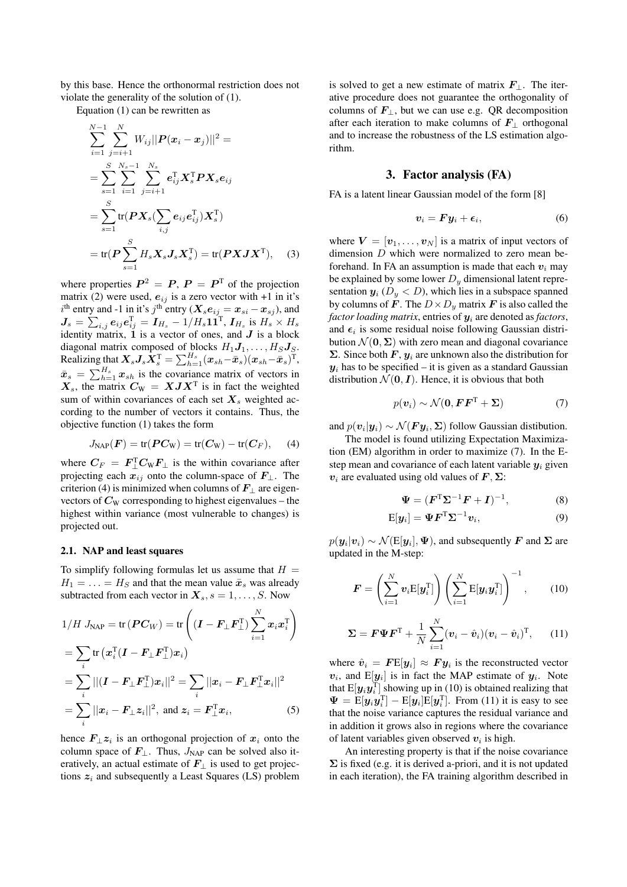by this base. Hence the orthonormal restriction does not violate the generality of the solution of (1).

Equation (1) can be rewritten as

$$
\sum_{i=1}^{N-1} \sum_{j=i+1}^{N} W_{ij} ||P(x_i - x_j)||^2 =
$$
\n
$$
= \sum_{s=1}^{S} \sum_{i=1}^{N_s-1} \sum_{j=i+1}^{N_s} e_{ij}^{\mathrm{T}} \mathbf{X}_s^{\mathrm{T}} \mathbf{P} \mathbf{X}_s e_{ij}
$$
\n
$$
= \sum_{s=1}^{S} \text{tr}(\mathbf{P} \mathbf{X}_s (\sum_{i,j} e_{ij} e_{ij}^{\mathrm{T}}) \mathbf{X}_s^{\mathrm{T}})
$$
\n
$$
= \text{tr}(\mathbf{P} \sum_{s=1}^{S} H_s \mathbf{X}_s \mathbf{J}_s \mathbf{X}_s^{\mathrm{T}}) = \text{tr}(\mathbf{P} \mathbf{X} \mathbf{J} \mathbf{X}^{\mathrm{T}}), \quad (3)
$$

where properties  $P^2 = P$ ,  $P = P^T$  of the projection matrix (2) were used,  $e_{ij}$  is a zero vector with +1 in it's  $i^{\text{th}}$  entry and -1 in it's  $j^{\text{th}}$  entry ( $\boldsymbol{X_s}\boldsymbol{e}_{ij} = \boldsymbol{x}_{si} - \boldsymbol{x}_{sj}$ ), and  $\boldsymbol{J_s} = \sum_{i,j} \boldsymbol{e_{ij}} \boldsymbol{e_{ij}^\text{T}} = \boldsymbol{I_{H_s}} - 1/H_s \boldsymbol{11^\text{T}}, \boldsymbol{I_{H_s}} \text{ is } H_s \times H_s$ identity matrix,  $1$  is a vector of ones, and  $J$  is a block diagonal matrix composed of blocks  $H_1J_1, \ldots, H_SJ_S$ . Realizing that  $\boldsymbol{X_sJ_s}\boldsymbol{\dot{X}}_s^\text{T} = \sum_{h=1}^{H_s}(\boldsymbol{x}_{sh}-\bar{\boldsymbol{x}}_s)(\boldsymbol{x}_{sh}-\bar{\boldsymbol{x}}_s)^\text{T},$  $\bar{x}_s = \sum_{h=1}^{H_s} x_{sh}$  is the covariance matrix of vectors in  $X_s$ , the matrix  $C_W = XJX^T$  is in fact the weighted sum of within covariances of each set  $X_s$  weighted according to the number of vectors it contains. Thus, the objective function (1) takes the form

$$
J_{\text{NAP}}(\boldsymbol{F}) = \text{tr}(\boldsymbol{P}\boldsymbol{C}_{\text{W}}) = \text{tr}(\boldsymbol{C}_{\text{W}}) - \text{tr}(\boldsymbol{C}_{\boldsymbol{F}}), \qquad (4)
$$

where  $C_F = F_{\perp}^{\mathrm{T}} C_{\mathrm{W}} F_{\perp}$  is the within covariance after projecting each  $x_{ij}$  onto the column-space of  $F_{\perp}$ . The criterion (4) is minimized when columns of  $\mathbf{F}_{\perp}$  are eigenvectors of  $C_W$  corresponding to highest eigenvalues – the highest within variance (most vulnerable to changes) is projected out.

#### 2.1. NAP and least squares

To simplify following formulas let us assume that  $H =$  $H_1 = \ldots = H_S$  and that the mean value  $\bar{x}_s$  was already subtracted from each vector in  $X_s$ ,  $s = 1, \ldots, S$ . Now

$$
1/H J_{\text{NAP}} = \text{tr}\left(\boldsymbol{P}\boldsymbol{C}_{W}\right) = \text{tr}\left((\boldsymbol{I} - \boldsymbol{F}_{\perp}\boldsymbol{F}_{\perp}^{T})\sum_{i=1}^{N}\boldsymbol{x}_{i}\boldsymbol{x}_{i}^{T}\right)
$$

$$
= \sum_{i} \text{tr}\left(\boldsymbol{x}_{i}^{T}(\boldsymbol{I} - \boldsymbol{F}_{\perp}\boldsymbol{F}_{\perp}^{T})\boldsymbol{x}_{i}\right)
$$

$$
= \sum_{i} ||(\boldsymbol{I} - \boldsymbol{F}_{\perp}\boldsymbol{F}_{\perp}^{T})\boldsymbol{x}_{i}||^{2} = \sum_{i} ||\boldsymbol{x}_{i} - \boldsymbol{F}_{\perp}\boldsymbol{F}_{\perp}^{T}\boldsymbol{x}_{i}||^{2}
$$

$$
= \sum_{i} ||\boldsymbol{x}_{i} - \boldsymbol{F}_{\perp}\boldsymbol{z}_{i}||^{2}, \text{ and } \boldsymbol{z}_{i} = \boldsymbol{F}_{\perp}^{T}\boldsymbol{x}_{i}, \tag{5}
$$

hence  $\mathbf{F}_{\perp} z_i$  is an orthogonal projection of  $x_i$  onto the column space of  $F_{\perp}$ . Thus,  $J_{NAP}$  can be solved also iteratively, an actual estimate of  $\mathbf{F}_{\perp}$  is used to get projections  $z_i$  and subsequently a Least Squares (LS) problem is solved to get a new estimate of matrix  $\mathbf{F}_{\perp}$ . The iterative procedure does not guarantee the orthogonality of columns of  $\mathbf{F}_{\perp}$ , but we can use e.g. QR decomposition after each iteration to make columns of  $\mathbf{F}_{\perp}$  orthogonal and to increase the robustness of the LS estimation algorithm.

#### 3. Factor analysis (FA)

FA is a latent linear Gaussian model of the form [8]

$$
v_i = F y_i + \epsilon_i, \tag{6}
$$

where  $V = [v_1, \dots, v_N]$  is a matrix of input vectors of dimension D which were normalized to zero mean beforehand. In FA an assumption is made that each  $v_i$  may be explained by some lower  $D_y$  dimensional latent representation  $y_i$  ( $D_y < D$ ), which lies in a subspace spanned by columns of F. The  $D \times D_y$  matrix F is also called the *factor loading matrix*, entries of  $y_i$  are denoted as *factors*, and  $\epsilon_i$  is some residual noise following Gaussian distribution  $\mathcal{N}(\mathbf{0}, \Sigma)$  with zero mean and diagonal covariance Σ. Since both  $F$ ,  $y_i$  are unknown also the distribution for  $y_i$  has to be specified – it is given as a standard Gaussian distribution  $\mathcal{N}(\mathbf{0}, \mathbf{I})$ . Hence, it is obvious that both

$$
p(\boldsymbol{v}_i) \sim \mathcal{N}(\boldsymbol{0}, \boldsymbol{F}\boldsymbol{F}^{\mathrm{T}} + \boldsymbol{\Sigma})
$$
 (7)

and  $p(\boldsymbol{v}_i|\boldsymbol{y}_i) \sim \mathcal{N}(\boldsymbol{F}\boldsymbol{y}_i,\boldsymbol{\Sigma})$  follow Gaussian distibution.

The model is found utilizing Expectation Maximization (EM) algorithm in order to maximize (7). In the Estep mean and covariance of each latent variable  $y_i$  given  $v_i$  are evaluated using old values of  $F, \Sigma$ :

$$
\Psi = (F^{\mathrm{T}}\Sigma^{-1}F + I)^{-1},\tag{8}
$$

$$
E[\mathbf{y}_i] = \mathbf{\Psi} \mathbf{F}^{\mathrm{T}} \mathbf{\Sigma}^{-1} \mathbf{v}_i, \tag{9}
$$

 $p(\bm{y}_i|\bm{v}_i) \sim \mathcal{N}(\text{E}[\bm{y}_i],\bm{\Psi})$ , and subsequently  $\bm{F}$  and  $\bm{\Sigma}$  are updated in the M-step:

$$
\boldsymbol{F} = \left(\sum_{i=1}^N \boldsymbol{v}_i \mathrm{E}[\boldsymbol{y}_i^{\mathrm{T}}]\right) \left(\sum_{i=1}^N \mathrm{E}[\boldsymbol{y}_i \boldsymbol{y}_i^{\mathrm{T}}]\right)^{-1},\qquad(10)
$$

$$
\Sigma = \boldsymbol{F} \boldsymbol{\Psi} \boldsymbol{F}^{\mathrm{T}} + \frac{1}{N} \sum_{i=1}^{N} (\boldsymbol{v}_i - \hat{\boldsymbol{v}}_i) (\boldsymbol{v}_i - \hat{\boldsymbol{v}}_i)^{\mathrm{T}}, \qquad (11)
$$

where  $\hat{v}_i = F \mathbf{E}[\mathbf{y}_i] \approx F \mathbf{y}_i$  is the reconstructed vector  $v_i$ , and  $E[y_i]$  is in fact the MAP estimate of  $y_i$ . Note that  $E[\boldsymbol{y}_i \boldsymbol{y}_i^{\text{T}}]$  showing up in (10) is obtained realizing that  $\Psi = \mathbb{E}[\mathbf{y}_i \mathbf{y}_i^{\mathrm{T}}] - \mathbb{E}[\mathbf{y}_i] \mathbb{E}[\mathbf{y}_i^{\mathrm{T}}]$ . From (11) it is easy to see that the noise variance captures the residual variance and in addition it grows also in regions where the covariance of latent variables given observed  $v_i$  is high.

An interesting property is that if the noise covariance  $\Sigma$  is fixed (e.g. it is derived a-priori, and it is not updated in each iteration), the FA training algorithm described in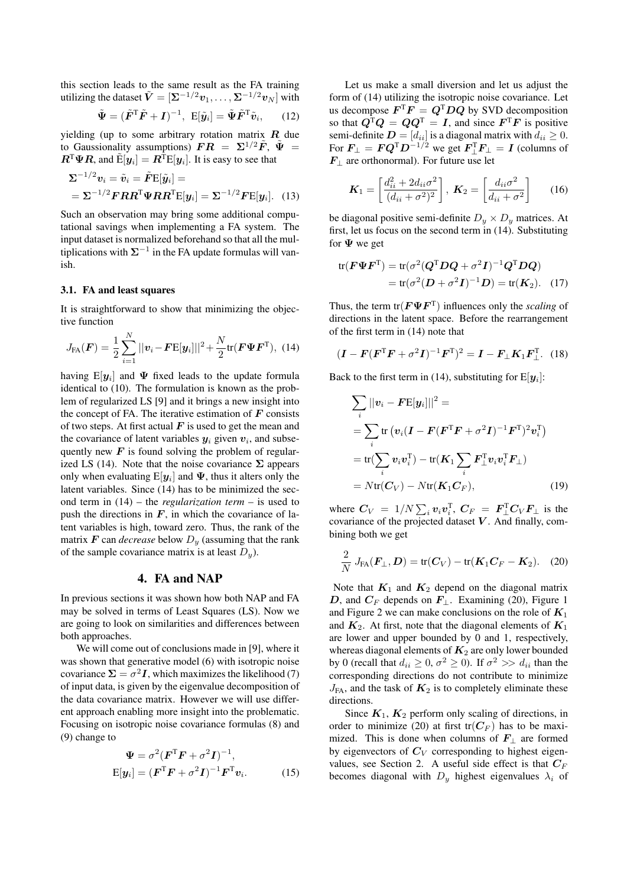this section leads to the same result as the FA training utilizing the dataset  $\tilde{\bm{V}} = [\Sigma^{-1/2} \bm{v}_1, \dots, \Sigma^{-1/2} \bm{v}_N]$  with

$$
\tilde{\mathbf{\Psi}} = (\tilde{\mathbf{F}}^{\mathrm{T}} \tilde{\mathbf{F}} + \mathbf{I})^{-1}, \ \mathbf{E}[\tilde{\mathbf{y}}_i] = \tilde{\mathbf{\Psi}} \tilde{\mathbf{F}}^{\mathrm{T}} \tilde{\mathbf{v}}_i, \qquad (12)
$$

yielding (up to some arbitrary rotation matrix  $R$  due to Gaussionality assumptions)  $\boldsymbol{F} \boldsymbol{R} = \boldsymbol{\Sigma}^{1/2} \tilde{\boldsymbol{F}}, \ \tilde{\boldsymbol{\Psi}} =$  $\mathbf{R}^{\mathrm{T}}\mathbf{\Psi}\mathbf{R}$ , and  $\tilde{\mathrm{E}}[\mathbf{y}_i] = \mathbf{R}^{\mathrm{T}}\mathrm{E}[\mathbf{y}_i]$ . It is easy to see that

$$
\Sigma^{-1/2} v_i = \tilde{v}_i = \tilde{F} \mathbb{E}[\tilde{y}_i] =
$$
  
= 
$$
\Sigma^{-1/2} F R R^{\mathrm{T}} \Psi R R^{\mathrm{T}} \mathbb{E}[y_i] = \Sigma^{-1/2} F \mathbb{E}[y_i]. \quad (13)
$$

Such an observation may bring some additional computational savings when implementing a FA system. The input dataset is normalized beforehand so that all the multiplications with  $\Sigma^{-1}$  in the FA update formulas will vanish.

#### 3.1. FA and least squares

It is straightforward to show that minimizing the objective function

$$
J_{\text{FA}}(\boldsymbol{F}) = \frac{1}{2} \sum_{i=1}^{N} ||\boldsymbol{v}_i - \boldsymbol{F} \mathbf{E}[\boldsymbol{y}_i]||^2 + \frac{N}{2} \text{tr}(\boldsymbol{F} \boldsymbol{\Psi} \boldsymbol{F}^{\text{T}}), \quad (14)
$$

having  $\text{E}[\bm{y}_i]$  and  $\Psi$  fixed leads to the update formula identical to (10). The formulation is known as the problem of regularized LS [9] and it brings a new insight into the concept of FA. The iterative estimation of  $\bf{F}$  consists of two steps. At first actual  $\boldsymbol{F}$  is used to get the mean and the covariance of latent variables  $y_i$  given  $v_i$ , and subsequently new  $\boldsymbol{F}$  is found solving the problem of regularized LS (14). Note that the noise covariance  $\Sigma$  appears only when evaluating  $E[y_i]$  and  $\Psi$ , thus it alters only the latent variables. Since (14) has to be minimized the second term in (14) – the *regularization term* – is used to push the directions in  $F$ , in which the covariance of latent variables is high, toward zero. Thus, the rank of the matrix  $\boldsymbol{F}$  can *decrease* below  $D_{\boldsymbol{y}}$  (assuming that the rank of the sample covariance matrix is at least  $D_u$ ).

## 4. FA and NAP

In previous sections it was shown how both NAP and FA may be solved in terms of Least Squares (LS). Now we are going to look on similarities and differences between both approaches.

We will come out of conclusions made in [9], where it was shown that generative model (6) with isotropic noise covariance  $\Sigma = \sigma^2 I$ , which maximizes the likelihood (7) of input data, is given by the eigenvalue decomposition of the data covariance matrix. However we will use different approach enabling more insight into the problematic. Focusing on isotropic noise covariance formulas (8) and (9) change to

$$
\Psi = \sigma^2 (\boldsymbol{F}^{\mathrm{T}} \boldsymbol{F} + \sigma^2 \boldsymbol{I})^{-1},
$$
  
\n
$$
E[\boldsymbol{y}_i] = (\boldsymbol{F}^{\mathrm{T}} \boldsymbol{F} + \sigma^2 \boldsymbol{I})^{-1} \boldsymbol{F}^{\mathrm{T}} \boldsymbol{v}_i.
$$
 (15)

Let us make a small diversion and let us adjust the form of (14) utilizing the isotropic noise covariance. Let us decompose  $\boldsymbol{F}^{\mathrm{T}}\boldsymbol{F} = \boldsymbol{Q}^{\mathrm{T}}\boldsymbol{D}\boldsymbol{Q}$  by SVD decomposition so that  $Q^T Q = Q Q^T = I$ , and since  $F^T F$  is positive semi-definite  $\mathbf{D} = [d_{ii}]$  is a diagonal matrix with  $d_{ii} \geq 0$ . For  $\boldsymbol{F}_{\perp} = \boldsymbol{F} \boldsymbol{Q}^{\mathrm{T}} \boldsymbol{D}^{-1/2}$  we get  $\boldsymbol{F}_{\perp}^{\mathrm{T}} \boldsymbol{F}_{\perp} = \boldsymbol{I}$  (columns of  $F_{\perp}$  are orthonormal). For future use let

$$
\boldsymbol{K}_1 = \left[\frac{d_{ii}^2 + 2d_{ii}\sigma^2}{(d_{ii} + \sigma^2)^2}\right], \ \boldsymbol{K}_2 = \left[\frac{d_{ii}\sigma^2}{d_{ii} + \sigma^2}\right] \qquad (16)
$$

be diagonal positive semi-definite  $D_y \times D_y$  matrices. At first, let us focus on the second term in (14). Substituting for  $\Psi$  we get

$$
tr(\boldsymbol{F}\boldsymbol{\Psi}\boldsymbol{F}^{\mathrm{T}}) = tr(\sigma^2(\boldsymbol{Q}^{\mathrm{T}}\boldsymbol{D}\boldsymbol{Q} + \sigma^2\boldsymbol{I})^{-1}\boldsymbol{Q}^{\mathrm{T}}\boldsymbol{D}\boldsymbol{Q})
$$
  
= 
$$
tr(\sigma^2(\boldsymbol{D} + \sigma^2\boldsymbol{I})^{-1}\boldsymbol{D}) = tr(\boldsymbol{K}_2). \quad (17)
$$

Thus, the term  $tr(\mathbf{F}\Psi \mathbf{F}^T)$  influences only the *scaling* of directions in the latent space. Before the rearrangement of the first term in (14) note that

$$
(\boldsymbol{I} - \boldsymbol{F}(\boldsymbol{F}^{\mathrm{T}}\boldsymbol{F} + \sigma^2\boldsymbol{I})^{-1}\boldsymbol{F}^{\mathrm{T}})^2 = \boldsymbol{I} - \boldsymbol{F}_{\perp}\boldsymbol{K}_1\boldsymbol{F}_{\perp}^{\mathrm{T}}.
$$
 (18)

Back to the first term in (14), substituting for  $E[y_i]$ :

$$
\sum_{i} ||v_i - FE[y_i]||^2 =
$$
\n
$$
= \sum_{i} tr (v_i (I - F(F^T F + \sigma^2 I)^{-1} F^T)^2 v_i^T)
$$
\n
$$
= tr(\sum_{i} v_i v_i^T) - tr(K_1 \sum_{i} F_{\perp}^T v_i v_i^T F_{\perp})
$$
\n
$$
= Ntr(C_V) - Ntr(K_1 C_F), \qquad (19)
$$

where  $C_V = 1/N \sum_i v_i v_i^{\text{T}}$ ,  $C_F = F_{\perp}^{\text{T}} C_V F_{\perp}$  is the covariance of the projected dataset  $V$ . And finally, combining both we get

$$
\frac{2}{N} J_{FA}(\boldsymbol{F}_{\perp}, \boldsymbol{D}) = \text{tr}(\boldsymbol{C}_V) - \text{tr}(\boldsymbol{K}_1 \boldsymbol{C}_F - \boldsymbol{K}_2). \quad (20)
$$

Note that  $K_1$  and  $K_2$  depend on the diagonal matrix D, and  $C_F$  depends on  $F_{\perp}$ . Examining (20), Figure 1 and Figure 2 we can make conclusions on the role of  $K_1$ and  $K_2$ . At first, note that the diagonal elements of  $K_1$ are lower and upper bounded by 0 and 1, respectively, whereas diagonal elements of  $K_2$  are only lower bounded by 0 (recall that  $d_{ii} \ge 0$ ,  $\sigma^2 \ge 0$ ). If  $\sigma^2 \gg d_{ii}$  than the corresponding directions do not contribute to minimize  $J_{FA}$ , and the task of  $K_2$  is to completely eliminate these directions.

Since  $K_1$ ,  $K_2$  perform only scaling of directions, in order to minimize (20) at first  $tr(C_F)$  has to be maximized. This is done when columns of  $\mathbf{F}_{\perp}$  are formed by eigenvectors of  $C_V$  corresponding to highest eigenvalues, see Section 2. A useful side effect is that  $C_F$ becomes diagonal with  $D_y$  highest eigenvalues  $\lambda_i$  of